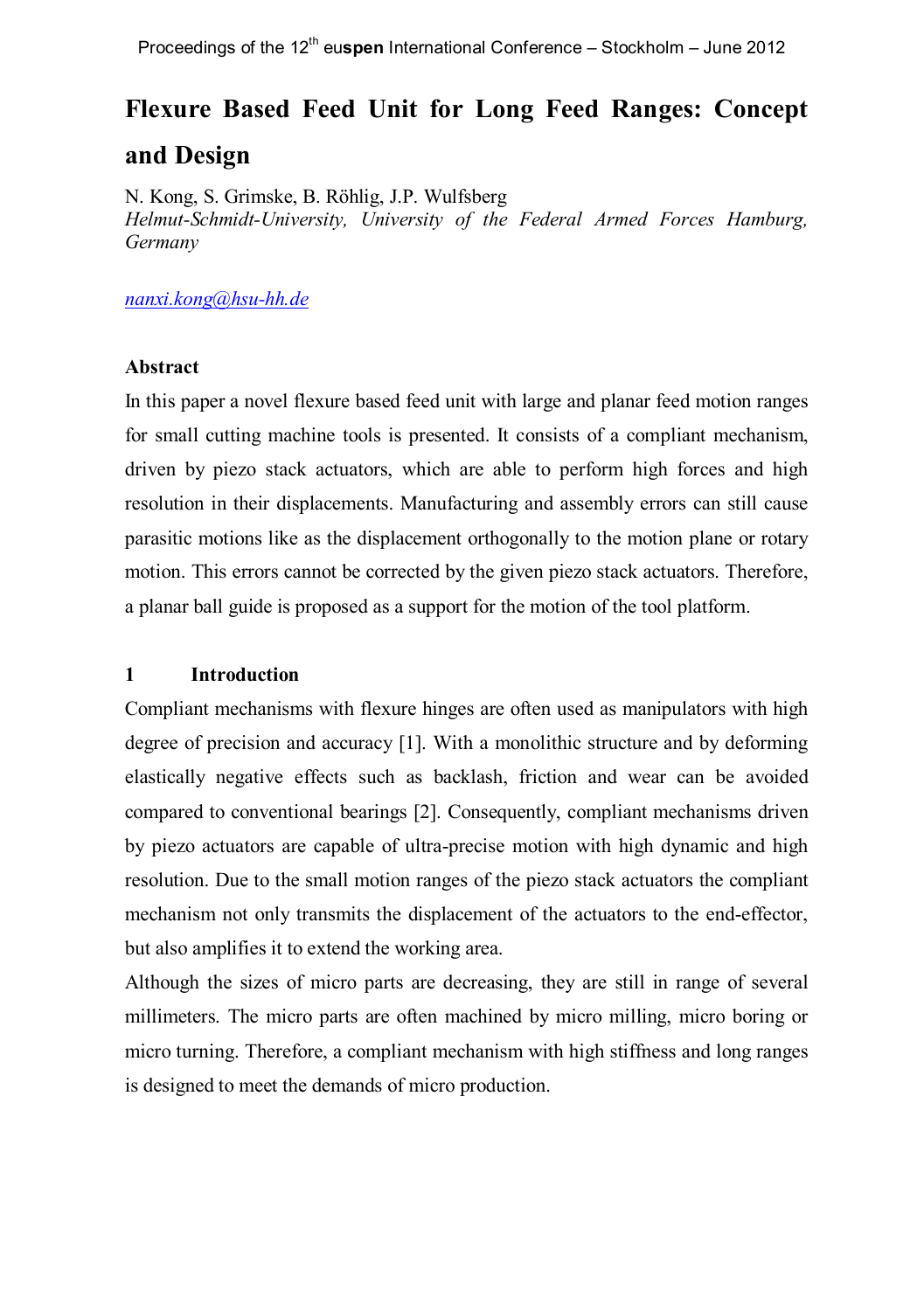# **Flexure Based Feed Unit for Long Feed Ranges: Concept and Design**

N. Kong, S. Grimske, B. Röhlig, J.P. Wulfsberg *Helmut-Schmidt-University, University of the Federal Armed Forces Hamburg, Germany*

*nanxi.kong@hsu-hh.de*

### **Abstract**

In this paper a novel flexure based feed unit with large and planar feed motion ranges for small cutting machine tools is presented. It consists of a compliant mechanism, driven by piezo stack actuators, which are able to perform high forces and high resolution in their displacements. Manufacturing and assembly errors can still cause parasitic motions like as the displacement orthogonally to the motion plane or rotary motion. This errors cannot be corrected by the given piezo stack actuators. Therefore, a planar ball guide is proposed as a support for the motion of the tool platform.

# **1 Introduction**

Compliant mechanisms with flexure hinges are often used as manipulators with high degree of precision and accuracy [1]. With a monolithic structure and by deforming elastically negative effects such as backlash, friction and wear can be avoided compared to conventional bearings [2]. Consequently, compliant mechanisms driven by piezo actuators are capable of ultra-precise motion with high dynamic and high resolution. Due to the small motion ranges of the piezo stack actuators the compliant mechanism not only transmits the displacement of the actuators to the end-effector, but also amplifies it to extend the working area.

Although the sizes of micro parts are decreasing, they are still in range of several millimeters. The micro parts are often machined by micro milling, micro boring or micro turning. Therefore, a compliant mechanism with high stiffness and long ranges is designed to meet the demands of micro production.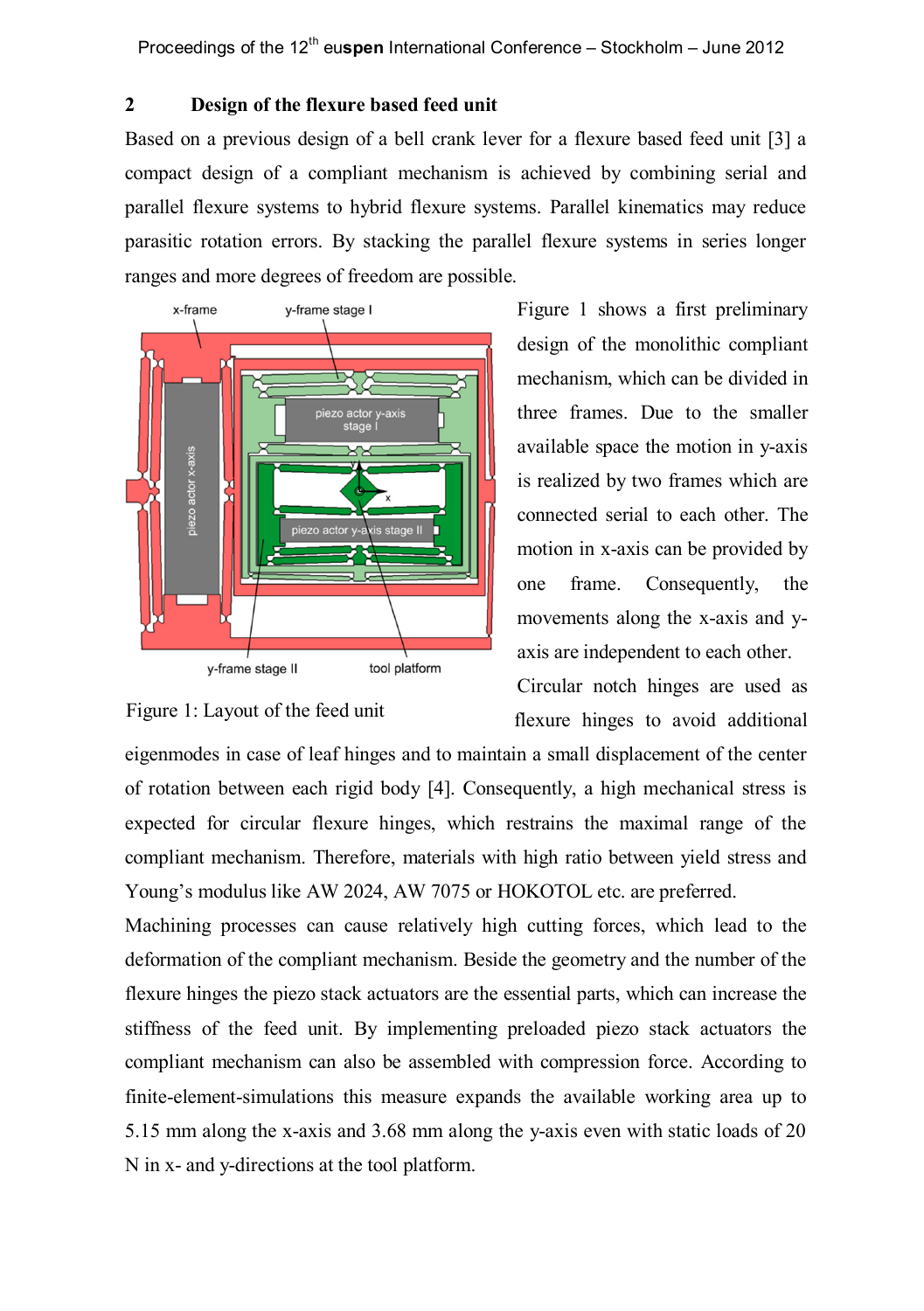Proceedings of the 12<sup>th</sup> euspen International Conference – Stockholm – June 2012

# **2 Design of the flexure based feed unit**

Based on a previous design of a bell crank lever for a flexure based feed unit [3] a compact design of a compliant mechanism is achieved by combining serial and parallel flexure systems to hybrid flexure systems. Parallel kinematics may reduce parasitic rotation errors. By stacking the parallel flexure systems in series longer ranges and more degrees of freedom are possible.



Figure 1 shows a first preliminary design of the monolithic compliant mechanism, which can be divided in three frames. Due to the smaller available space the motion in y-axis is realized by two frames which are connected serial to each other. The motion in x-axis can be provided by one frame. Consequently, the movements along the x-axis and yaxis are independent to each other.

Circular notch hinges are used as flexure hinges to avoid additional

Figure 1: Layout of the feed unit

eigenmodes in case of leaf hinges and to maintain a small displacement of the center of rotation between each rigid body [4]. Consequently, a high mechanical stress is expected for circular flexure hinges, which restrains the maximal range of the compliant mechanism. Therefore, materials with high ratio between yield stress and Young's modulus like AW 2024, AW 7075 or HOKOTOL etc. are preferred.

Machining processes can cause relatively high cutting forces, which lead to the deformation of the compliant mechanism. Beside the geometry and the number of the flexure hinges the piezo stack actuators are the essential parts, which can increase the stiffness of the feed unit. By implementing preloaded piezo stack actuators the compliant mechanism can also be assembled with compression force. According to finite-element-simulations this measure expands the available working area up to 5.15 mm along the x-axis and 3.68 mm along the y-axis even with static loads of 20 N in x- and y-directions at the tool platform.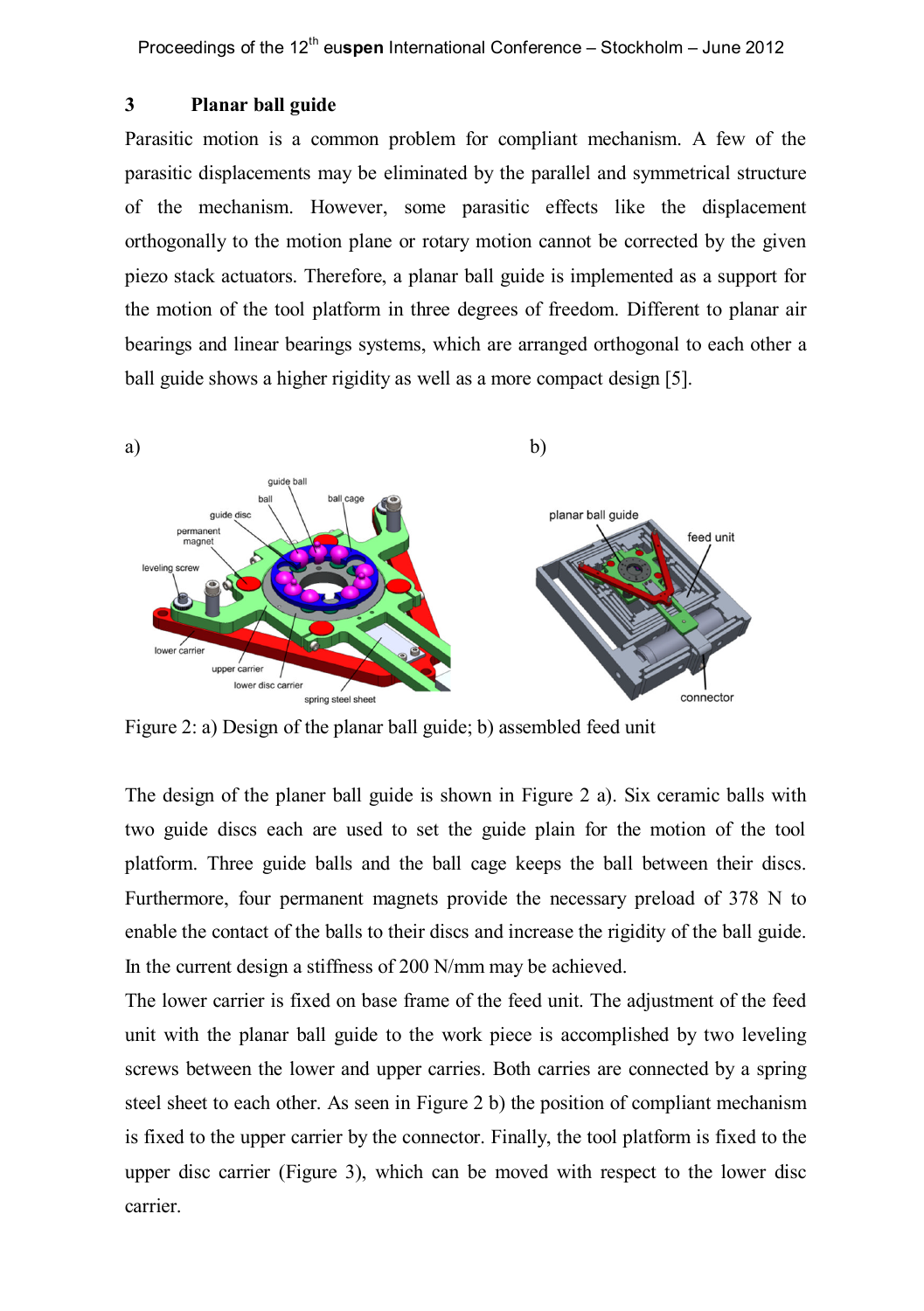Proceedings of the 12<sup>th</sup> euspen International Conference – Stockholm – June 2012

### **3 Planar ball guide**

Parasitic motion is a common problem for compliant mechanism. A few of the parasitic displacements may be eliminated by the parallel and symmetrical structure of the mechanism. However, some parasitic effects like the displacement orthogonally to the motion plane or rotary motion cannot be corrected by the given piezo stack actuators. Therefore, a planar ball guide is implemented as a support for the motion of the tool platform in three degrees of freedom. Different to planar air bearings and linear bearings systems, which are arranged orthogonal to each other a ball guide shows a higher rigidity as well as a more compact design [5].



Figure 2: a) Design of the planar ball guide; b) assembled feed unit

The design of the planer ball guide is shown in Figure 2 a). Six ceramic balls with two guide discs each are used to set the guide plain for the motion of the tool platform. Three guide balls and the ball cage keeps the ball between their discs. Furthermore, four permanent magnets provide the necessary preload of 378 N to enable the contact of the balls to their discs and increase the rigidity of the ball guide. In the current design a stiffness of 200 N/mm may be achieved.

The lower carrier is fixed on base frame of the feed unit. The adjustment of the feed unit with the planar ball guide to the work piece is accomplished by two leveling screws between the lower and upper carries. Both carries are connected by a spring steel sheet to each other. As seen in Figure 2 b) the position of compliant mechanism is fixed to the upper carrier by the connector. Finally, the tool platform is fixed to the upper disc carrier (Figure 3), which can be moved with respect to the lower disc carrier.